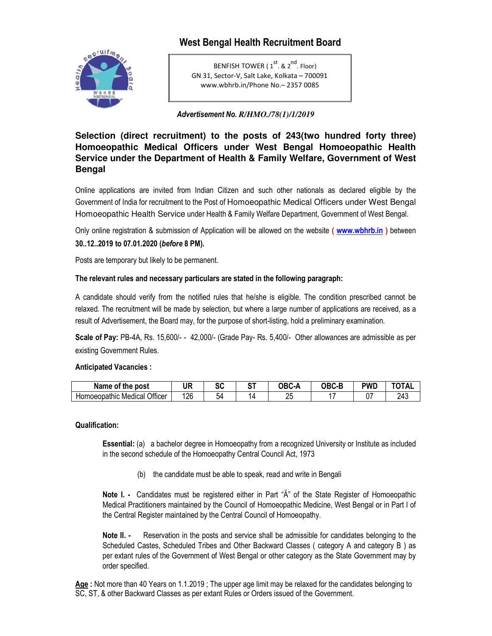# **West Bengal Health Recruitment Board**



BENFISH TOWER (1<sup>st</sup>. & 2<sup>nd</sup>. Floor) GN 31, Sector‐V, Salt Lake, Kolkata – 700091 www.wbhrb.in/Phone No.– 2357 0085

*Advertisement No. R/HMO./78(1)/1/2019*

**Selection (direct recruitment) to the posts of 243(two hundred forty three) Homoeopathic Medical Officers under West Bengal Homoeopathic Health Service under the Department of Health & Family Welfare, Government of West Bengal** 

Online applications are invited from Indian Citizen and such other nationals as declared eligible by the Government of India for recruitment to the Post of Homoeopathic Medical Officers under West Bengal Homoeopathic Health Service under Health & Family Welfare Department, Government of West Bengal.

Only online registration & submission of Application will be allowed on the website **( www.wbhrb.in )** between **30..12..2019 to 07.01.2020 (***before* **8 PM).** 

Posts are temporary but likely to be permanent.

# **The relevant rules and necessary particulars are stated in the following paragraph:**

A candidate should verify from the notified rules that he/she is eligible. The condition prescribed cannot be relaxed. The recruitment will be made by selection, but where a large number of applications are received, as a result of Advertisement, the Board may, for the purpose of short-listing, hold a preliminary examination.

**Scale of Pay:** PB-4A, Rs. 15,600/- - 42,000/- (Grade Pay- Rs. 5,400/- Other allowances are admissible as per existing Government Rules.

**Anticipated Vacancies :** 

| Name of the post                   | <b>UR</b> | r r<br>งบ | OТ | <b>OBC-A</b> | OBC-F | pwd      | TOTAL |
|------------------------------------|-----------|-----------|----|--------------|-------|----------|-------|
| Officer<br>Homoeopathic<br>Medical | 126       | 54        |    | റല<br>Lı     |       | ^¬<br>v. | 243   |

#### **Qualification:**

**Essential:** (a) a bachelor degree in Homoeopathy from a recognized University or Institute as included in the second schedule of the Homoeopathy Central Council Act, 1973

(b) the candidate must be able to speak, read and write in Bengali

**Note I. -** Candidates must be registered either in Part "Ä" of the State Register of Homoeopathic Medical Practitioners maintained by the Council of Homoeopathic Medicine, West Bengal or in Part I of the Central Register maintained by the Central Council of Homoeopathy.

**Note II.** - Reservation in the posts and service shall be admissible for candidates belonging to the Scheduled Castes, Scheduled Tribes and Other Backward Classes ( category A and category B ) as per extant rules of the Government of West Bengal or other category as the State Government may by order specified.

**Age :** Not more than 40 Years on 1.1.2019 ; The upper age limit may be relaxed for the candidates belonging to SC, ST, & other Backward Classes as per extant Rules or Orders issued of the Government.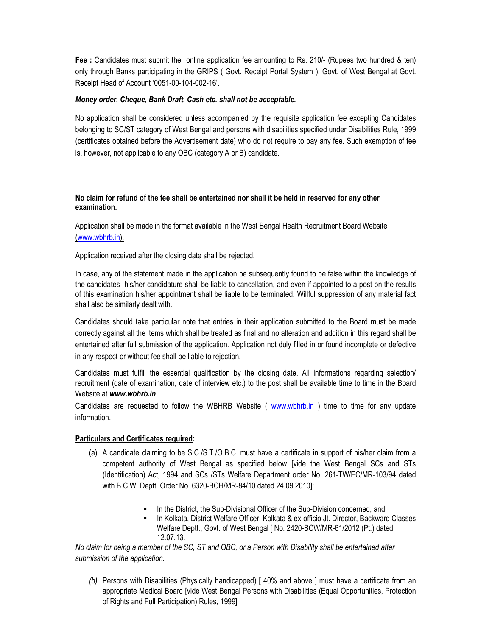**Fee :** Candidates must submit the online application fee amounting to Rs. 210/- (Rupees two hundred & ten) only through Banks participating in the GRIPS ( Govt. Receipt Portal System ), Govt. of West Bengal at Govt. Receipt Head of Account '0051-00-104-002-16'.

## *Money order, Cheque, Bank Draft, Cash etc. shall not be acceptable.*

No application shall be considered unless accompanied by the requisite application fee excepting Candidates belonging to SC/ST category of West Bengal and persons with disabilities specified under Disabilities Rule, 1999 (certificates obtained before the Advertisement date) who do not require to pay any fee. Such exemption of fee is, however, not applicable to any OBC (category A or B) candidate.

## **No claim for refund of the fee shall be entertained nor shall it be held in reserved for any other examination.**

Application shall be made in the format available in the West Bengal Health Recruitment Board Website (www.wbhrb.in).

Application received after the closing date shall be rejected.

In case, any of the statement made in the application be subsequently found to be false within the knowledge of the candidates- his/her candidature shall be liable to cancellation, and even if appointed to a post on the results of this examination his/her appointment shall be liable to be terminated. Willful suppression of any material fact shall also be similarly dealt with.

Candidates should take particular note that entries in their application submitted to the Board must be made correctly against all the items which shall be treated as final and no alteration and addition in this regard shall be entertained after full submission of the application. Application not duly filled in or found incomplete or defective in any respect or without fee shall be liable to rejection.

Candidates must fulfill the essential qualification by the closing date. All informations regarding selection/ recruitment (date of examination, date of interview etc.) to the post shall be available time to time in the Board Website at *www.wbhrb.in*.

Candidates are requested to follow the WBHRB Website ( www.wbhrb.in ) time to time for any update information.

#### **Particulars and Certificates required:**

- (a) A candidate claiming to be S.C./S.T./O.B.C. must have a certificate in support of his/her claim from a competent authority of West Bengal as specified below [vide the West Bengal SCs and STs (Identification) Act, 1994 and SCs /STs Welfare Department order No. 261-TW/EC/MR-103/94 dated with B.C.W. Deptt. Order No. 6320-BCH/MR-84/10 dated 24.09.2010]:
	- In the District, the Sub-Divisional Officer of the Sub-Division concerned, and
	- In Kolkata, District Welfare Officer, Kolkata & ex-officio Jt. Director, Backward Classes Welfare Deptt., Govt. of West Bengal [ No. 2420-BCW/MR-61/2012 (Pt.) dated 12.07.13.

*No claim for being a member of the SC, ST and OBC, or a Person with Disability shall be entertained after submission of the application.* 

*(b)* Persons with Disabilities (Physically handicapped) [ 40% and above ] must have a certificate from an appropriate Medical Board [vide West Bengal Persons with Disabilities (Equal Opportunities, Protection of Rights and Full Participation) Rules, 1999]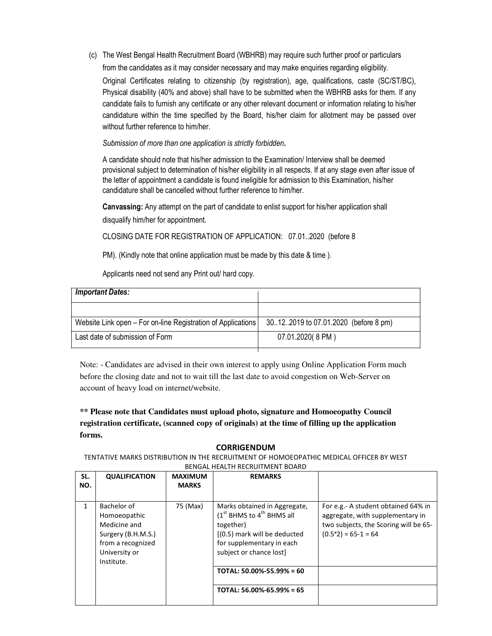(c) The West Bengal Health Recruitment Board (WBHRB) may require such further proof or particulars from the candidates as it may consider necessary and may make enquiries regarding eligibility.

Original Certificates relating to citizenship (by registration), age, qualifications, caste (SC/ST/BC), Physical disability (40% and above) shall have to be submitted when the WBHRB asks for them. If any candidate fails to furnish any certificate or any other relevant document or information relating to his/her candidature within the time specified by the Board, his/her claim for allotment may be passed over without further reference to him/her.

*Submission of more than one application is strictly forbidden.*

A candidate should note that his/her admission to the Examination/ Interview shall be deemed provisional subject to determination of his/her eligibility in all respects. If at any stage even after issue of the letter of appointment a candidate is found ineligible for admission to this Examination, his/her candidature shall be cancelled without further reference to him/her.

**Canvassing:** Any attempt on the part of candidate to enlist support for his/her application shall disqualify him/her for appointment.

CLOSING DATE FOR REGISTRATION OF APPLICATION: 07.01..2020 (before 8

PM). (Kindly note that online application must be made by this date & time ).

Applicants need not send any Print out/ hard copy.

| <b>Important Dates:</b>                                      |                                        |
|--------------------------------------------------------------|----------------------------------------|
|                                                              |                                        |
| Website Link open – For on-line Registration of Applications | 30.12.2019 to 07.01.2020 (before 8 pm) |
| Last date of submission of Form                              | 07.01.2020(8 PM)                       |

Note: - Candidates are advised in their own interest to apply using Online Application Form much before the closing date and not to wait till the last date to avoid congestion on Web-Server on account of heavy load on internet/website.

**\*\* Please note that Candidates must upload photo, signature and Homoeopathy Council registration certificate, (scanned copy of originals) at the time of filling up the application forms.** 

# **CORRIGENDUM**

TENTATIVE MARKS DISTRIBUTION IN THE RECRUITMENT OF HOMOEOPATHIC MEDICAL OFFICER BY WEST BENGAL HEALTH RECRUITMENT BOARD

| SL.<br>NO. | <b>QUALIFICATION</b>                                                                                                  | <b>MAXIMUM</b><br><b>MARKS</b> | <b>REMARKS</b>                                                                                                                                                     |                                                                                                                                           |
|------------|-----------------------------------------------------------------------------------------------------------------------|--------------------------------|--------------------------------------------------------------------------------------------------------------------------------------------------------------------|-------------------------------------------------------------------------------------------------------------------------------------------|
| 1          | Bachelor of<br>Homoeopathic<br>Medicine and<br>Surgery (B.H.M.S.)<br>from a recognized<br>University or<br>Institute. | 75 (Max)                       | Marks obtained in Aggregate,<br>$(1st$ BHMS to $4th$ BHMS all<br>together)<br>[(0.5) mark will be deducted<br>for supplementary in each<br>subject or chance lost] | For e.g.- A student obtained 64% in<br>aggregate, with supplementary in<br>two subjects, the Scoring will be 65-<br>$(0.5*2) = 65-1 = 64$ |
|            |                                                                                                                       |                                | TOTAL: $50.00\% - 55.99\% = 60$                                                                                                                                    |                                                                                                                                           |
|            |                                                                                                                       |                                | TOTAL: $56.00\% - 65.99\% = 65$                                                                                                                                    |                                                                                                                                           |